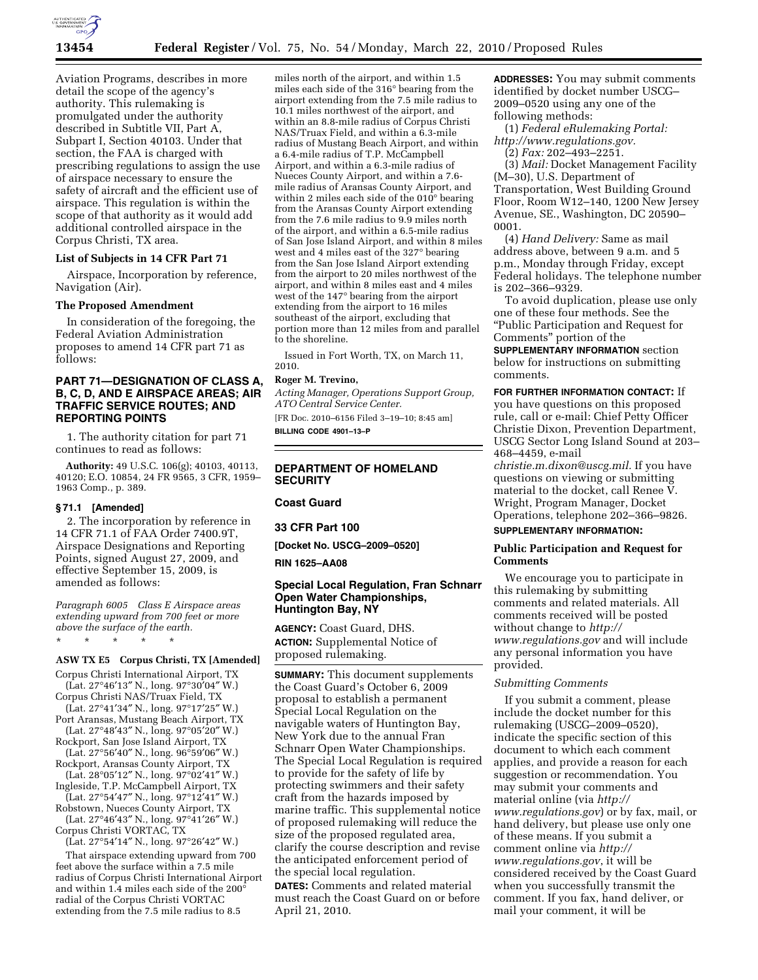

Aviation Programs, describes in more detail the scope of the agency's authority. This rulemaking is promulgated under the authority described in Subtitle VII, Part A, Subpart I, Section 40103. Under that section, the FAA is charged with prescribing regulations to assign the use of airspace necessary to ensure the safety of aircraft and the efficient use of airspace. This regulation is within the scope of that authority as it would add additional controlled airspace in the Corpus Christi, TX area.

## **List of Subjects in 14 CFR Part 71**

Airspace, Incorporation by reference, Navigation (Air).

### **The Proposed Amendment**

In consideration of the foregoing, the Federal Aviation Administration proposes to amend 14 CFR part 71 as follows:

# **PART 71—DESIGNATION OF CLASS A, B, C, D, AND E AIRSPACE AREAS; AIR TRAFFIC SERVICE ROUTES; AND REPORTING POINTS**

1. The authority citation for part 71 continues to read as follows:

**Authority:** 49 U.S.C. 106(g); 40103, 40113, 40120; E.O. 10854, 24 FR 9565, 3 CFR, 1959– 1963 Comp., p. 389.

## **§ 71.1 [Amended]**

2. The incorporation by reference in 14 CFR 71.1 of FAA Order 7400.9T, Airspace Designations and Reporting Points, signed August 27, 2009, and effective September 15, 2009, is amended as follows:

*Paragraph 6005 Class E Airspace areas extending upward from 700 feet or more above the surface of the earth.* 

\* \* \* \* \*

# **ASW TX E5 Corpus Christi, TX [Amended]**

Corpus Christi International Airport, TX (Lat. 27°46′13″ N., long. 97°30′04″ W.)

- Corpus Christi NAS/Truax Field, TX (Lat. 27°41′34″ N., long. 97°17′25″ W.)
- Port Aransas, Mustang Beach Airport, TX (Lat. 27°48′43″ N., long. 97°05′20″ W.)
- Rockport, San Jose Island Airport, TX (Lat. 27°56′40″ N., long. 96°59′06″ W.)
- Rockport, Aransas County Airport, TX (Lat. 28°05′12″ N., long. 97°02′41″ W.)
- Ingleside, T.P. McCampbell Airport, TX (Lat. 27°54′47″ N., long. 97°12′41″ W.)
- Robstown, Nueces County Airport, TX
- (Lat. 27°46′43″ N., long. 97°41′26″ W.) Corpus Christi VORTAC, TX
- (Lat. 27°54′14″ N., long. 97°26′42″ W.)

That airspace extending upward from 700 feet above the surface within a 7.5 mile radius of Corpus Christi International Airport and within 1.4 miles each side of the 200° radial of the Corpus Christi VORTAC extending from the 7.5 mile radius to 8.5

miles north of the airport, and within 1.5 miles each side of the 316° bearing from the airport extending from the 7.5 mile radius to 10.1 miles northwest of the airport, and within an 8.8-mile radius of Corpus Christi NAS/Truax Field, and within a 6.3-mile radius of Mustang Beach Airport, and within a 6.4-mile radius of T.P. McCampbell Airport, and within a 6.3-mile radius of Nueces County Airport, and within a 7.6 mile radius of Aransas County Airport, and within 2 miles each side of the 010° bearing from the Aransas County Airport extending from the 7.6 mile radius to 9.9 miles north of the airport, and within a 6.5-mile radius of San Jose Island Airport, and within 8 miles west and 4 miles east of the 327° bearing from the San Jose Island Airport extending from the airport to 20 miles northwest of the airport, and within 8 miles east and 4 miles west of the 147° bearing from the airport extending from the airport to 16 miles southeast of the airport, excluding that portion more than 12 miles from and parallel to the shoreline.

Issued in Fort Worth, TX, on March 11, 2010.

## **Roger M. Trevino,**

*Acting Manager, Operations Support Group, ATO Central Service Center.* 

[FR Doc. 2010–6156 Filed 3–19–10; 8:45 am] **BILLING CODE 4901–13–P** 

# **DEPARTMENT OF HOMELAND SECURITY**

# **Coast Guard**

## **33 CFR Part 100**

**[Docket No. USCG–2009–0520]** 

**RIN 1625–AA08** 

## **Special Local Regulation, Fran Schnarr Open Water Championships, Huntington Bay, NY**

**AGENCY:** Coast Guard, DHS. **ACTION:** Supplemental Notice of proposed rulemaking.

**SUMMARY:** This document supplements the Coast Guard's October 6, 2009 proposal to establish a permanent Special Local Regulation on the navigable waters of Huntington Bay, New York due to the annual Fran Schnarr Open Water Championships. The Special Local Regulation is required to provide for the safety of life by protecting swimmers and their safety craft from the hazards imposed by marine traffic. This supplemental notice of proposed rulemaking will reduce the size of the proposed regulated area, clarify the course description and revise the anticipated enforcement period of the special local regulation.

**DATES:** Comments and related material must reach the Coast Guard on or before April 21, 2010.

**ADDRESSES:** You may submit comments identified by docket number USCG– 2009–0520 using any one of the following methods:

(1) *Federal eRulemaking Portal: http://www.regulations.gov.* 

(2) *Fax:* 202–493–2251.

(3) *Mail:* Docket Management Facility (M–30), U.S. Department of Transportation, West Building Ground Floor, Room W12–140, 1200 New Jersey Avenue, SE., Washington, DC 20590– 0001.

(4) *Hand Delivery:* Same as mail address above, between 9 a.m. and 5 p.m., Monday through Friday, except Federal holidays. The telephone number is 202–366–9329.

To avoid duplication, please use only one of these four methods. See the ''Public Participation and Request for Comments'' portion of the

**SUPPLEMENTARY INFORMATION** section below for instructions on submitting comments.

**FOR FURTHER INFORMATION CONTACT:** If you have questions on this proposed rule, call or e-mail: Chief Petty Officer Christie Dixon, Prevention Department, USCG Sector Long Island Sound at 203– 468–4459, e-mail

*christie.m.dixon@uscg.mil.* If you have questions on viewing or submitting material to the docket, call Renee V. Wright, Program Manager, Docket Operations, telephone 202–366–9826.

# **SUPPLEMENTARY INFORMATION:**

# **Public Participation and Request for Comments**

We encourage you to participate in this rulemaking by submitting comments and related materials. All comments received will be posted without change to *http:// www.regulations.gov* and will include any personal information you have provided.

### *Submitting Comments*

If you submit a comment, please include the docket number for this rulemaking (USCG–2009–0520), indicate the specific section of this document to which each comment applies, and provide a reason for each suggestion or recommendation. You may submit your comments and material online (via *http:// www.regulations.gov*) or by fax, mail, or hand delivery, but please use only one of these means. If you submit a comment online via *http:// www.regulations.gov*, it will be considered received by the Coast Guard when you successfully transmit the comment. If you fax, hand deliver, or mail your comment, it will be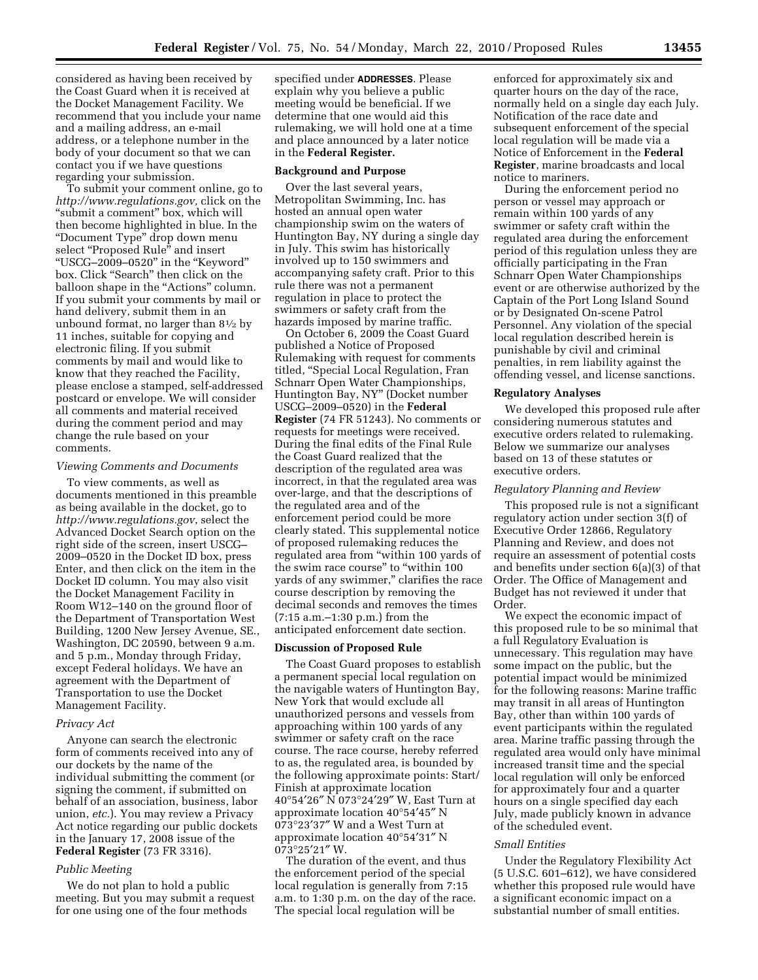considered as having been received by the Coast Guard when it is received at the Docket Management Facility. We recommend that you include your name and a mailing address, an e-mail address, or a telephone number in the body of your document so that we can contact you if we have questions regarding your submission.

To submit your comment online, go to *http://www.regulations.gov,* click on the "submit a comment" box, which will then become highlighted in blue. In the ''Document Type'' drop down menu select "Proposed Rule" and insert ''USCG–2009–0520'' in the ''Keyword'' box. Click ''Search'' then click on the balloon shape in the ''Actions'' column. If you submit your comments by mail or hand delivery, submit them in an unbound format, no larger than  $8\frac{1}{2}$  by 11 inches, suitable for copying and electronic filing. If you submit comments by mail and would like to know that they reached the Facility, please enclose a stamped, self-addressed postcard or envelope. We will consider all comments and material received during the comment period and may change the rule based on your comments.

### *Viewing Comments and Documents*

To view comments, as well as documents mentioned in this preamble as being available in the docket, go to *http://www.regulations.gov*, select the Advanced Docket Search option on the right side of the screen, insert USCG– 2009–0520 in the Docket ID box, press Enter, and then click on the item in the Docket ID column. You may also visit the Docket Management Facility in Room W12–140 on the ground floor of the Department of Transportation West Building, 1200 New Jersey Avenue, SE., Washington, DC 20590, between 9 a.m. and 5 p.m., Monday through Friday, except Federal holidays. We have an agreement with the Department of Transportation to use the Docket Management Facility.

### *Privacy Act*

Anyone can search the electronic form of comments received into any of our dockets by the name of the individual submitting the comment (or signing the comment, if submitted on behalf of an association, business, labor union, *etc.*). You may review a Privacy Act notice regarding our public dockets in the January 17, 2008 issue of the **Federal Register** (73 FR 3316).

## *Public Meeting*

We do not plan to hold a public meeting. But you may submit a request for one using one of the four methods

specified under **ADDRESSES**. Please explain why you believe a public meeting would be beneficial. If we determine that one would aid this rulemaking, we will hold one at a time and place announced by a later notice in the **Federal Register.** 

### **Background and Purpose**

Over the last several years, Metropolitan Swimming, Inc. has hosted an annual open water championship swim on the waters of Huntington Bay, NY during a single day in July. This swim has historically involved up to 150 swimmers and accompanying safety craft. Prior to this rule there was not a permanent regulation in place to protect the swimmers or safety craft from the hazards imposed by marine traffic.

On October 6, 2009 the Coast Guard published a Notice of Proposed Rulemaking with request for comments titled, ''Special Local Regulation, Fran Schnarr Open Water Championships, Huntington Bay, NY'' (Docket number USCG–2009–0520) in the **Federal Register** (74 FR 51243). No comments or requests for meetings were received. During the final edits of the Final Rule the Coast Guard realized that the description of the regulated area was incorrect, in that the regulated area was over-large, and that the descriptions of the regulated area and of the enforcement period could be more clearly stated. This supplemental notice of proposed rulemaking reduces the regulated area from "within 100 yards of the swim race course" to "within 100 yards of any swimmer,'' clarifies the race course description by removing the decimal seconds and removes the times (7:15 a.m.–1:30 p.m.) from the anticipated enforcement date section.

## **Discussion of Proposed Rule**

The Coast Guard proposes to establish a permanent special local regulation on the navigable waters of Huntington Bay, New York that would exclude all unauthorized persons and vessels from approaching within 100 yards of any swimmer or safety craft on the race course. The race course, hereby referred to as, the regulated area, is bounded by the following approximate points: Start/ Finish at approximate location 40°54′26″ N 073°24′29″ W, East Turn at approximate location 40°54′45″ N 073°23′37″ W and a West Turn at approximate location 40°54′31″ N 073°25′21″ W.

The duration of the event, and thus the enforcement period of the special local regulation is generally from 7:15 a.m. to 1:30 p.m. on the day of the race. The special local regulation will be

enforced for approximately six and quarter hours on the day of the race, normally held on a single day each July. Notification of the race date and subsequent enforcement of the special local regulation will be made via a Notice of Enforcement in the **Federal Register**, marine broadcasts and local notice to mariners.

During the enforcement period no person or vessel may approach or remain within 100 yards of any swimmer or safety craft within the regulated area during the enforcement period of this regulation unless they are officially participating in the Fran Schnarr Open Water Championships event or are otherwise authorized by the Captain of the Port Long Island Sound or by Designated On-scene Patrol Personnel. Any violation of the special local regulation described herein is punishable by civil and criminal penalties, in rem liability against the offending vessel, and license sanctions.

## **Regulatory Analyses**

We developed this proposed rule after considering numerous statutes and executive orders related to rulemaking. Below we summarize our analyses based on 13 of these statutes or executive orders.

### *Regulatory Planning and Review*

This proposed rule is not a significant regulatory action under section 3(f) of Executive Order 12866, Regulatory Planning and Review, and does not require an assessment of potential costs and benefits under section 6(a)(3) of that Order. The Office of Management and Budget has not reviewed it under that Order.

We expect the economic impact of this proposed rule to be so minimal that a full Regulatory Evaluation is unnecessary. This regulation may have some impact on the public, but the potential impact would be minimized for the following reasons: Marine traffic may transit in all areas of Huntington Bay, other than within 100 yards of event participants within the regulated area. Marine traffic passing through the regulated area would only have minimal increased transit time and the special local regulation will only be enforced for approximately four and a quarter hours on a single specified day each July, made publicly known in advance of the scheduled event.

# *Small Entities*

Under the Regulatory Flexibility Act (5 U.S.C. 601–612), we have considered whether this proposed rule would have a significant economic impact on a substantial number of small entities.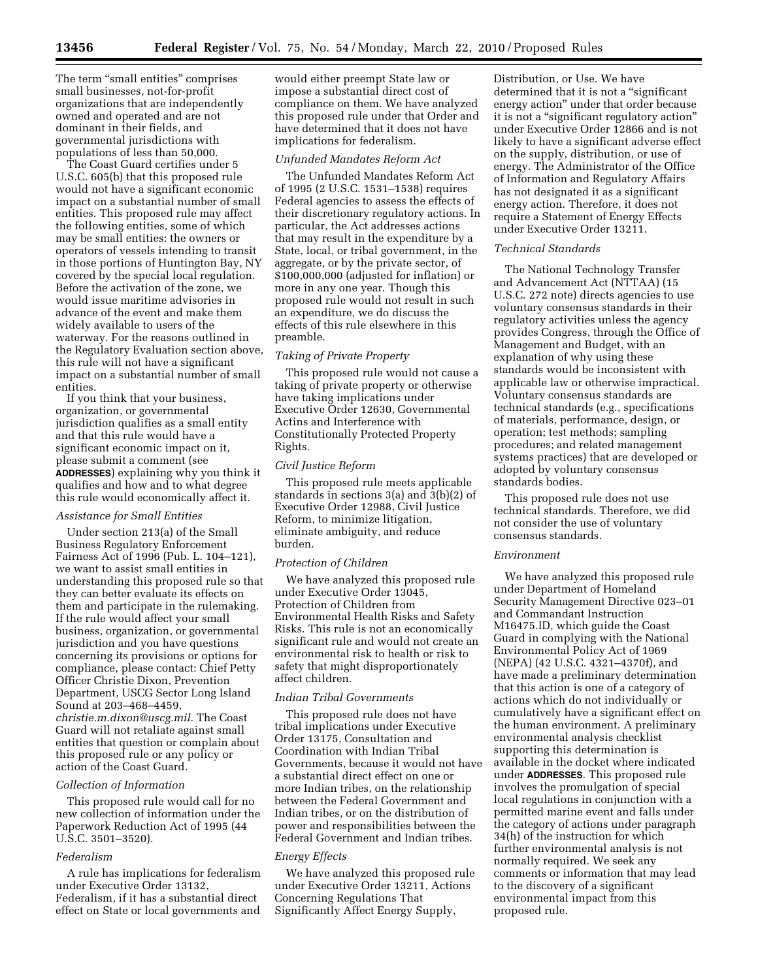The term "small entities" comprises small businesses, not-for-profit organizations that are independently owned and operated and are not dominant in their fields, and governmental jurisdictions with populations of less than 50,000.

The Coast Guard certifies under 5 U.S.C. 605(b) that this proposed rule would not have a significant economic impact on a substantial number of small entities. This proposed rule may affect the following entities, some of which may be small entities: the owners or operators of vessels intending to transit in those portions of Huntington Bay, NY covered by the special local regulation. Before the activation of the zone, we would issue maritime advisories in advance of the event and make them widely available to users of the waterway. For the reasons outlined in the Regulatory Evaluation section above, this rule will not have a significant impact on a substantial number of small entities.

If you think that your business, organization, or governmental jurisdiction qualifies as a small entity and that this rule would have a significant economic impact on it, please submit a comment (see **ADDRESSES**) explaining why you think it qualifies and how and to what degree this rule would economically affect it.

# *Assistance for Small Entities*

Under section 213(a) of the Small Business Regulatory Enforcement Fairness Act of 1996 (Pub. L. 104–121), we want to assist small entities in understanding this proposed rule so that they can better evaluate its effects on them and participate in the rulemaking. If the rule would affect your small business, organization, or governmental jurisdiction and you have questions concerning its provisions or options for compliance, please contact: Chief Petty Officer Christie Dixon, Prevention Department, USCG Sector Long Island Sound at 203–468–4459, *christie.m.dixon@uscg.mil.* The Coast Guard will not retaliate against small entities that question or complain about this proposed rule or any policy or action of the Coast Guard.

### *Collection of Information*

This proposed rule would call for no new collection of information under the Paperwork Reduction Act of 1995 (44 U.S.C. 3501–3520).

### *Federalism*

A rule has implications for federalism under Executive Order 13132, Federalism, if it has a substantial direct effect on State or local governments and

would either preempt State law or impose a substantial direct cost of compliance on them. We have analyzed this proposed rule under that Order and have determined that it does not have implications for federalism.

### *Unfunded Mandates Reform Act*

The Unfunded Mandates Reform Act of 1995 (2 U.S.C. 1531–1538) requires Federal agencies to assess the effects of their discretionary regulatory actions. In particular, the Act addresses actions that may result in the expenditure by a State, local, or tribal government, in the aggregate, or by the private sector, of \$100,000,000 (adjusted for inflation) or more in any one year. Though this proposed rule would not result in such an expenditure, we do discuss the effects of this rule elsewhere in this preamble.

## *Taking of Private Property*

This proposed rule would not cause a taking of private property or otherwise have taking implications under Executive Order 12630, Governmental Actins and Interference with Constitutionally Protected Property Rights.

### *Civil Justice Reform*

This proposed rule meets applicable standards in sections 3(a) and 3(b)(2) of Executive Order 12988, Civil Justice Reform, to minimize litigation, eliminate ambiguity, and reduce burden.

### *Protection of Children*

We have analyzed this proposed rule under Executive Order 13045, Protection of Children from Environmental Health Risks and Safety Risks. This rule is not an economically significant rule and would not create an environmental risk to health or risk to safety that might disproportionately affect children.

### *Indian Tribal Governments*

This proposed rule does not have tribal implications under Executive Order 13175, Consultation and Coordination with Indian Tribal Governments, because it would not have a substantial direct effect on one or more Indian tribes, on the relationship between the Federal Government and Indian tribes, or on the distribution of power and responsibilities between the Federal Government and Indian tribes.

### *Energy Effects*

We have analyzed this proposed rule under Executive Order 13211, Actions Concerning Regulations That Significantly Affect Energy Supply,

Distribution, or Use. We have determined that it is not a ''significant energy action'' under that order because it is not a ''significant regulatory action'' under Executive Order 12866 and is not likely to have a significant adverse effect on the supply, distribution, or use of energy. The Administrator of the Office of Information and Regulatory Affairs has not designated it as a significant energy action. Therefore, it does not require a Statement of Energy Effects under Executive Order 13211.

### *Technical Standards*

The National Technology Transfer and Advancement Act (NTTAA) (15 U.S.C. 272 note) directs agencies to use voluntary consensus standards in their regulatory activities unless the agency provides Congress, through the Office of Management and Budget, with an explanation of why using these standards would be inconsistent with applicable law or otherwise impractical. Voluntary consensus standards are technical standards (e.g., specifications of materials, performance, design, or operation; test methods; sampling procedures; and related management systems practices) that are developed or adopted by voluntary consensus standards bodies.

This proposed rule does not use technical standards. Therefore, we did not consider the use of voluntary consensus standards.

## *Environment*

We have analyzed this proposed rule under Department of Homeland Security Management Directive 023–01 and Commandant Instruction M16475.lD, which guide the Coast Guard in complying with the National Environmental Policy Act of 1969 (NEPA) (42 U.S.C. 4321–4370f), and have made a preliminary determination that this action is one of a category of actions which do not individually or cumulatively have a significant effect on the human environment. A preliminary environmental analysis checklist supporting this determination is available in the docket where indicated under **ADDRESSES**. This proposed rule involves the promulgation of special local regulations in conjunction with a permitted marine event and falls under the category of actions under paragraph 34(h) of the instruction for which further environmental analysis is not normally required. We seek any comments or information that may lead to the discovery of a significant environmental impact from this proposed rule.